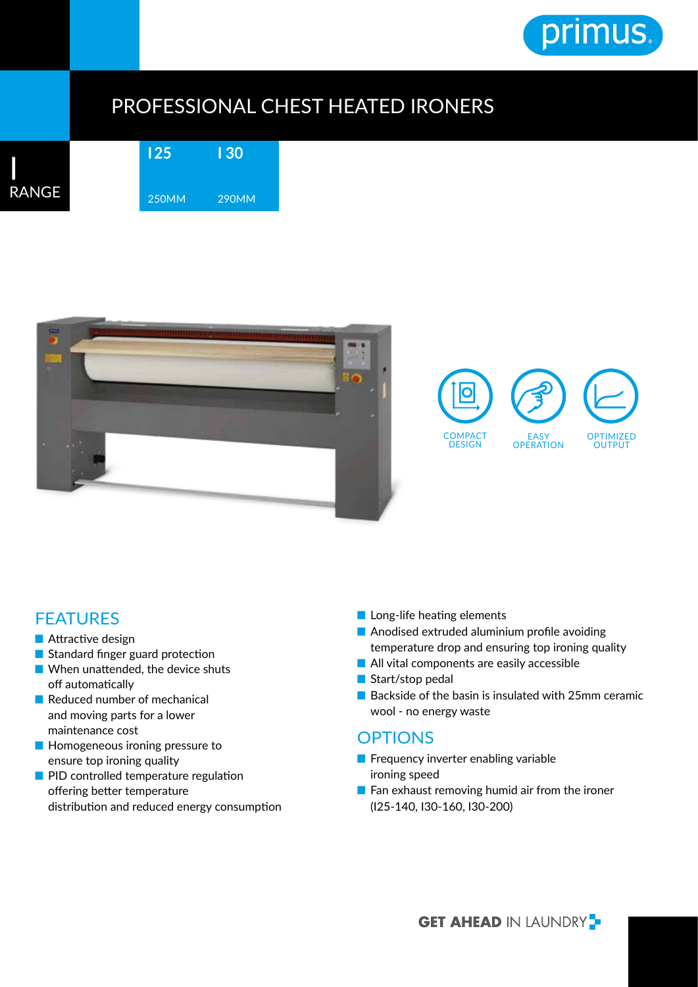

## PROFESSIONAL CHEST HEATED IRONERS



**I 25** 250MM **I 30** 290MM





## FEATURES

- Attractive design
- Standard finger guard protection
- When unattended, the device shuts off automatically
- Reduced number of mechanical and moving parts for a lower maintenance cost
- Homogeneous ironing pressure to ensure top ironing quality
- PID controlled temperature regulation offering better temperature distribution and reduced energy consumption
- Long-life heating elements
- Anodised extruded aluminium profile avoiding temperature drop and ensuring top ironing quality
- All vital components are easily accessible
- Start/stop pedal
- Backside of the basin is insulated with 25mm ceramic wool - no energy waste

## **OPTIONS**

- Frequency inverter enabling variable ironing speed
- Fan exhaust removing humid air from the ironer (I25-140, I30-160, I30-200)